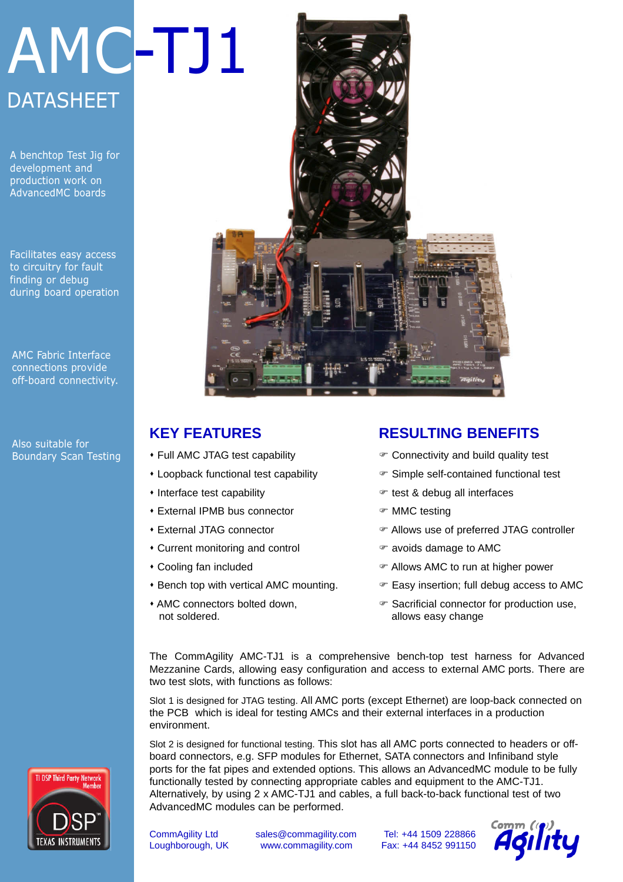# AMC-TJ1 **DATASHEET**

A benchtop Test Jig for development and production work on AdvancedMC boards

Facilitates easy access to circuitry for fault finding or debug during board operation

AMC Fabric Interface connections provide off-board connectivity.

Also suitable for Boundary Scan Testing



## **KEY FEATURES**

- Full AMC JTAG test capability
- Loopback functional test capability
- Interface test capability
- **\* External IPMB bus connector**
- **\* External JTAG connector**
- Current monitoring and control
- Cooling fan included
- **\* Bench top with vertical AMC mounting.**
- AMC connectors bolted down. not soldered.

### **RESULTING BENEFITS**

- $\mathcal F$  Connectivity and build quality test
- F Simple self-contained functional test
- $\mathcal F$  test & debug all interfaces
- F MMC testing
- F Allows use of preferred JTAG controller
- $\mathcal F$  avoids damage to AMC
- F Allows AMC to run at higher power
- $\mathcal F$  Easy insertion; full debug access to AMC
- F Sacrificial connector for production use, allows easy change

The CommAgility AMC-TJ1 is a comprehensive bench-top test harness for Advanced Mezzanine Cards, allowing easy configuration and access to external AMC ports. There are two test slots, with functions as follows:

Slot 1 is designed for JTAG testing. All AMC ports (except Ethernet) are loop-back connected on the PCB which is ideal for testing AMCs and their external interfaces in a production environment.

Slot 2 is designed for functional testing. This slot has all AMC ports connected to headers or offboard connectors, e.g. SFP modules for Ethernet, SATA connectors and Infiniband style ports for the fat pipes and extended options. This allows an AdvancedMC module to be fully functionally tested by connecting appropriate cables and equipment to the AMC-TJ1. Alternatively, by using 2 x AMC-TJ1 and cables, a full back-to-back functional test of two AdvancedMC modules can be performed.



CommAgility Ltd sales@commagility.com Tel: +44 1509 228866 Loughborough, UK www.commagility.com Fax: +44 8452 991150